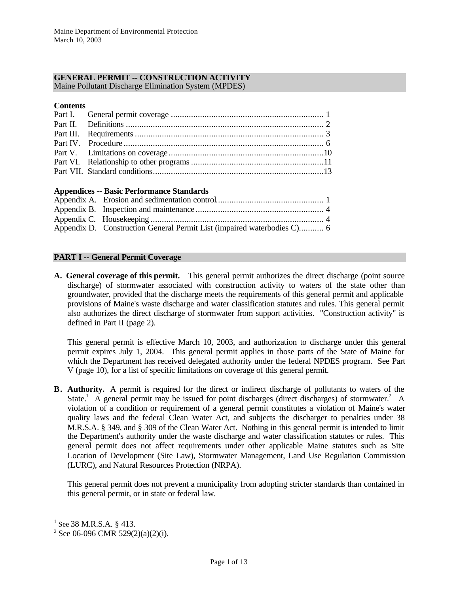# **GENERAL PERMIT -- CONSTRUCTION ACTIVITY**

Maine Pollutant Discharge Elimination System (MPDES)

### **Contents**

### **Appendices -- Basic Performance Standards**

| Appendix D. Construction General Permit List (impaired waterbodies C) 6 |  |
|-------------------------------------------------------------------------|--|

# **PART I -- General Permit Coverage**

**A. General coverage of this permit.** This general permit authorizes the direct discharge (point source discharge) of stormwater associated with construction activity to waters of the state other than groundwater, provided that the discharge meets the requirements of this general permit and applicable provisions of Maine's waste discharge and water classification statutes and rules. This general permit also authorizes the direct discharge of stormwater from support activities. "Construction activity" is defined in Part II (page 2).

This general permit is effective March 10, 2003, and authorization to discharge under this general permit expires July 1, 2004. This general permit applies in those parts of the State of Maine for which the Department has received delegated authority under the federal NPDES program. See Part V (page 10), for a list of specific limitations on coverage of this general permit.

**B. Authority.** A permit is required for the direct or indirect discharge of pollutants to waters of the State.<sup>1</sup> A general permit may be issued for point discharges (direct discharges) of stormwater.<sup>2</sup> A violation of a condition or requirement of a general permit constitutes a violation of Maine's water quality laws and the federal Clean Water Act, and subjects the discharger to penalties under 38 M.R.S.A. § 349, and § 309 of the Clean Water Act. Nothing in this general permit is intended to limit the Department's authority under the waste discharge and water classification statutes or rules. This general permit does not affect requirements under other applicable Maine statutes such as Site Location of Development (Site Law), Stormwater Management, Land Use Regulation Commission (LURC), and Natural Resources Protection (NRPA).

This general permit does not prevent a municipality from adopting stricter standards than contained in this general permit, or in state or federal law.

<sup>&</sup>lt;sup>1</sup> See 38 M.R.S.A. § 413.

 $2$  See 06-096 CMR 529(2)(a)(2)(i).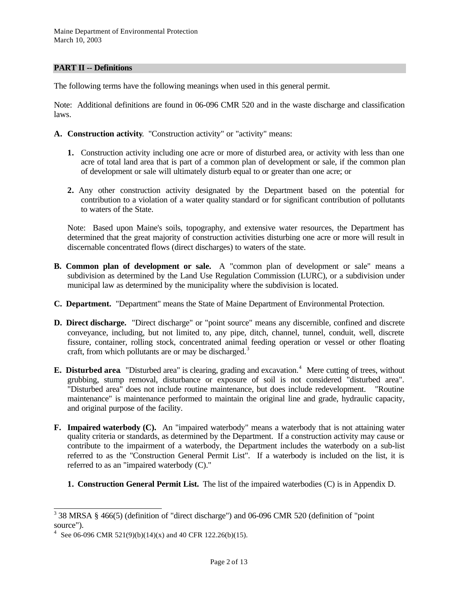### **PART II -- Definitions**

The following terms have the following meanings when used in this general permit.

Note: Additional definitions are found in 06-096 CMR 520 and in the waste discharge and classification laws.

- **A. Construction activity***.* "Construction activity" or "activity" means:
	- **1.** Construction activity including one acre or more of disturbed area, or activity with less than one acre of total land area that is part of a common plan of development or sale, if the common plan of development or sale will ultimately disturb equal to or greater than one acre; or
	- **2.** Any other construction activity designated by the Department based on the potential for contribution to a violation of a water quality standard or for significant contribution of pollutants to waters of the State.

Note: Based upon Maine's soils, topography, and extensive water resources, the Department has determined that the great majority of construction activities disturbing one acre or more will result in discernable concentrated flows (direct discharges) to waters of the state.

- **B. Common plan of development or sale.** A "common plan of development or sale" means a subdivision as determined by the Land Use Regulation Commission (LURC), or a subdivision under municipal law as determined by the municipality where the subdivision is located.
- **C. Department.** "Department" means the State of Maine Department of Environmental Protection.
- **D. Direct discharge.** "Direct discharge" or "point source" means any discernible, confined and discrete conveyance, including, but not limited to, any pipe, ditch, channel, tunnel, conduit, well, discrete fissure, container, rolling stock, concentrated animal feeding operation or vessel or other floating craft, from which pollutants are or may be discharged.<sup>3</sup>
- **E. Disturbed area** "Disturbed area" is clearing, grading and excavation.<sup>4</sup> Mere cutting of trees, without grubbing, stump removal, disturbance or exposure of soil is not considered "disturbed area". "Disturbed area" does not include routine maintenance, but does include redevelopment. "Routine maintenance" is maintenance performed to maintain the original line and grade, hydraulic capacity, and original purpose of the facility.
- **F. Impaired waterbody (C).** An "impaired waterbody" means a waterbody that is not attaining water quality criteria or standards, as determined by the Department. If a construction activity may cause or contribute to the impairment of a waterbody, the Department includes the waterbody on a sub-list referred to as the "Construction General Permit List". If a waterbody is included on the list, it is referred to as an "impaired waterbody (C)."
	- **1. Construction General Permit List.** The list of the impaired waterbodies (C) is in Appendix D.

 3 38 MRSA § 466(5) (definition of "direct discharge") and 06-096 CMR 520 (definition of "point source").

<sup>&</sup>lt;sup>4</sup> See 06-096 CMR 521(9)(b)(14)(x) and 40 CFR 122.26(b)(15).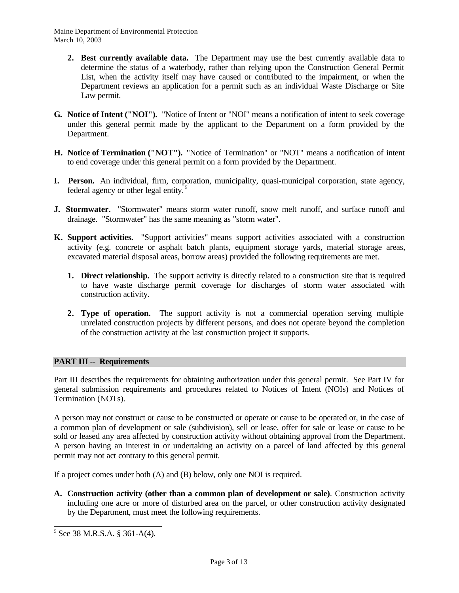- **2. Best currently available data.** The Department may use the best currently available data to determine the status of a waterbody, rather than relying upon the Construction General Permit List, when the activity itself may have caused or contributed to the impairment, or when the Department reviews an application for a permit such as an individual Waste Discharge or Site Law permit.
- **G. Notice of Intent ("NOI").** "Notice of Intent or "NOI" means a notification of intent to seek coverage under this general permit made by the applicant to the Department on a form provided by the Department.
- **H. Notice of Termination ("NOT").**"Notice of Termination" or "NOT" means a notification of intent to end coverage under this general permit on a form provided by the Department.
- **I. Person.** An individual, firm, corporation, municipality, quasi-municipal corporation, state agency, federal agency or other legal entity. <sup>5</sup>
- **J. Stormwater.** "Stormwater" means storm water runoff, snow melt runoff, and surface runoff and drainage. "Stormwater" has the same meaning as "storm water".
- **K. Support activities.** "Support activities" means support activities associated with a construction activity (e.g. concrete or asphalt batch plants, equipment storage yards, material storage areas, excavated material disposal areas, borrow areas) provided the following requirements are met.
	- **1. Direct relationship.** The support activity is directly related to a construction site that is required to have waste discharge permit coverage for discharges of storm water associated with construction activity.
	- **2. Type of operation.** The support activity is not a commercial operation serving multiple unrelated construction projects by different persons, and does not operate beyond the completion of the construction activity at the last construction project it supports.

### **PART III -- Requirements**

Part III describes the requirements for obtaining authorization under this general permit. See Part IV for general submission requirements and procedures related to Notices of Intent (NOIs) and Notices of Termination (NOTs).

A person may not construct or cause to be constructed or operate or cause to be operated or, in the case of a common plan of development or sale (subdivision), sell or lease, offer for sale or lease or cause to be sold or leased any area affected by construction activity without obtaining approval from the Department. A person having an interest in or undertaking an activity on a parcel of land affected by this general permit may not act contrary to this general permit.

If a project comes under both (A) and (B) below, only one NOI is required.

**A. Construction activity (other than a common plan of development or sale)**. Construction activity including one acre or more of disturbed area on the parcel, or other construction activity designated by the Department, must meet the following requirements.

 $5$  See 38 M.R.S.A. § 361-A(4).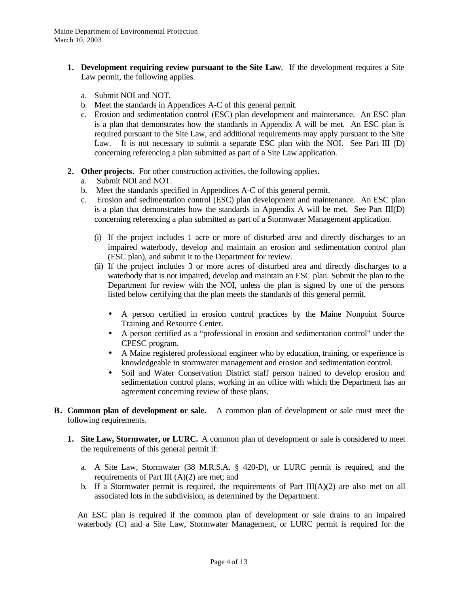- **1. Development requiring review pursuant to the Site Law**. If the development requires a Site Law permit, the following applies.
	- a. Submit NOI and NOT.
	- b. Meet the standards in Appendices A-C of this general permit.
	- c. Erosion and sedimentation control (ESC) plan development and maintenance. An ESC plan is a plan that demonstrates how the standards in Appendix A will be met. An ESC plan is required pursuant to the Site Law, and additional requirements may apply pursuant to the Site Law. It is not necessary to submit a separate ESC plan with the NOI. See Part III (D) concerning referencing a plan submitted as part of a Site Law application.
- **2. Other projects**. For other construction activities, the following applies**.**
	- a. Submit NOI and NOT.
	- b. Meet the standards specified in Appendices A-C of this general permit.
	- c. Erosion and sedimentation control (ESC) plan development and maintenance. An ESC plan is a plan that demonstrates how the standards in Appendix A will be met. See Part III(D) concerning referencing a plan submitted as part of a Stormwater Management application.
		- (i) If the project includes 1 acre or more of disturbed area and directly discharges to an impaired waterbody, develop and maintain an erosion and sedimentation control plan (ESC plan), and submit it to the Department for review.
		- (ii) If the project includes 3 or more acres of disturbed area and directly discharges to a waterbody that is not impaired, develop and maintain an ESC plan. Submit the plan to the Department for review with the NOI, unless the plan is signed by one of the persons listed below certifying that the plan meets the standards of this general permit.
			- A person certified in erosion control practices by the Maine Nonpoint Source Training and Resource Center.
			- A person certified as a "professional in erosion and sedimentation control" under the CPESC program.
			- A Maine registered professional engineer who by education, training, or experience is knowledgeable in stormwater management and erosion and sedimentation control.
			- Soil and Water Conservation District staff person trained to develop erosion and sedimentation control plans, working in an office with which the Department has an agreement concerning review of these plans.
- **B. Common plan of development or sale.** A common plan of development or sale must meet the following requirements.
	- **1. Site Law, Stormwater, or LURC.** A common plan of development or sale is considered to meet the requirements of this general permit if:
		- a. A Site Law, Stormwater (38 M.R.S.A. § 420-D), or LURC permit is required, and the requirements of Part III (A)(2) are met; and
		- b. If a Stormwater permit is required, the requirements of Part  $III(A)(2)$  are also met on all associated lots in the subdivision, as determined by the Department.

An ESC plan is required if the common plan of development or sale drains to an impaired waterbody (C) and a Site Law, Stormwater Management, or LURC permit is required for the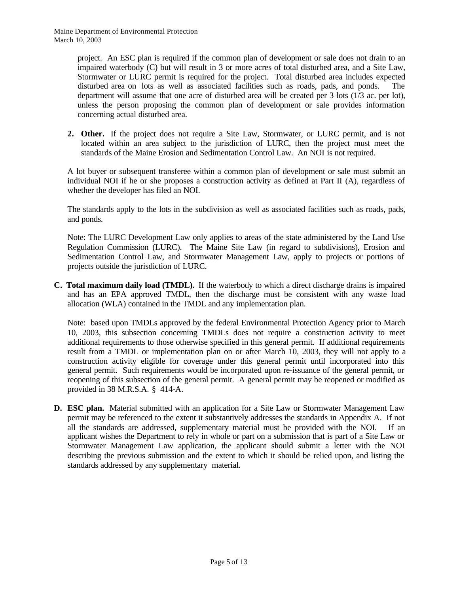project. An ESC plan is required if the common plan of development or sale does not drain to an impaired waterbody (C) but will result in 3 or more acres of total disturbed area, and a Site Law, Stormwater or LURC permit is required for the project. Total disturbed area includes expected disturbed area on lots as well as associated facilities such as roads, pads, and ponds. The department will assume that one acre of disturbed area will be created per 3 lots (1/3 ac. per lot), unless the person proposing the common plan of development or sale provides information concerning actual disturbed area.

**2. Other.** If the project does not require a Site Law, Stormwater, or LURC permit, and is not located within an area subject to the jurisdiction of LURC, then the project must meet the standards of the Maine Erosion and Sedimentation Control Law. An NOI is not required.

A lot buyer or subsequent transferee within a common plan of development or sale must submit an individual NOI if he or she proposes a construction activity as defined at Part II (A), regardless of whether the developer has filed an NOI.

The standards apply to the lots in the subdivision as well as associated facilities such as roads, pads, and ponds.

Note: The LURC Development Law only applies to areas of the state administered by the Land Use Regulation Commission (LURC). The Maine Site Law (in regard to subdivisions), Erosion and Sedimentation Control Law, and Stormwater Management Law, apply to projects or portions of projects outside the jurisdiction of LURC.

**C. Total maximum daily load (TMDL).** If the waterbody to which a direct discharge drains is impaired and has an EPA approved TMDL, then the discharge must be consistent with any waste load allocation (WLA) contained in the TMDL and any implementation plan.

Note: based upon TMDLs approved by the federal Environmental Protection Agency prior to March 10, 2003, this subsection concerning TMDLs does not require a construction activity to meet additional requirements to those otherwise specified in this general permit. If additional requirements result from a TMDL or implementation plan on or after March 10, 2003, they will not apply to a construction activity eligible for coverage under this general permit until incorporated into this general permit. Such requirements would be incorporated upon re-issuance of the general permit, or reopening of this subsection of the general permit. A general permit may be reopened or modified as provided in 38 M.R.S.A. § 414-A.

**D. ESC plan.** Material submitted with an application for a Site Law or Stormwater Management Law permit may be referenced to the extent it substantively addresses the standards in Appendix A. If not all the standards are addressed, supplementary material must be provided with the NOI. If an applicant wishes the Department to rely in whole or part on a submission that is part of a Site Law or Stormwater Management Law application, the applicant should submit a letter with the NOI describing the previous submission and the extent to which it should be relied upon, and listing the standards addressed by any supplementary material.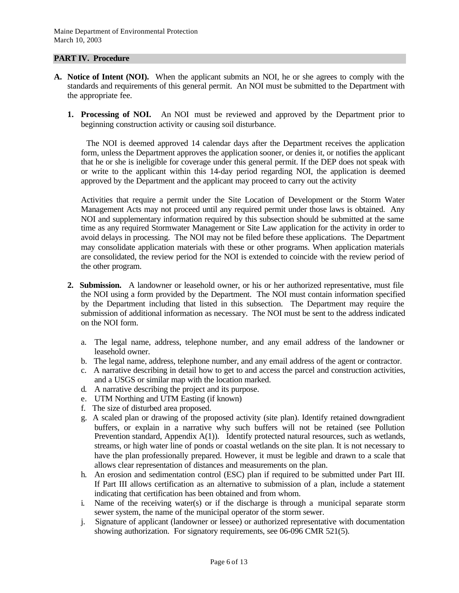#### **PART IV. Procedure**

- **A. Notice of Intent (NOI).** When the applicant submits an NOI, he or she agrees to comply with the standards and requirements of this general permit. An NOI must be submitted to the Department with the appropriate fee.
	- **1. Processing of NOI.** An NOI must be reviewed and approved by the Department prior to beginning construction activity or causing soil disturbance.

 The NOI is deemed approved 14 calendar days after the Department receives the application form, unless the Department approves the application sooner, or denies it, or notifies the applicant that he or she is ineligible for coverage under this general permit. If the DEP does not speak with or write to the applicant within this 14-day period regarding NOI, the application is deemed approved by the Department and the applicant may proceed to carry out the activity

Activities that require a permit under the Site Location of Development or the Storm Water Management Acts may not proceed until any required permit under those laws is obtained. Any NOI and supplementary information required by this subsection should be submitted at the same time as any required Stormwater Management or Site Law application for the activity in order to avoid delays in processing. The NOI may not be filed before these applications. The Department may consolidate application materials with these or other programs. When application materials are consolidated, the review period for the NOI is extended to coincide with the review period of the other program.

- **2. Submission.** A landowner or leasehold owner, or his or her authorized representative, must file the NOI using a form provided by the Department. The NOI must contain information specified by the Department including that listed in this subsection. The Department may require the submission of additional information as necessary. The NOI must be sent to the address indicated on the NOI form.
	- a. The legal name, address, telephone number, and any email address of the landowner or leasehold owner.
	- b. The legal name, address, telephone number, and any email address of the agent or contractor.
	- c. A narrative describing in detail how to get to and access the parcel and construction activities, and a USGS or similar map with the location marked.
	- d. A narrative describing the project and its purpose.
	- e. UTM Northing and UTM Easting (if known)
	- f. The size of disturbed area proposed.
	- g. A scaled plan or drawing of the proposed activity (site plan). Identify retained downgradient buffers, or explain in a narrative why such buffers will not be retained (see Pollution Prevention standard, Appendix A(1)). Identify protected natural resources, such as wetlands, streams, or high water line of ponds or coastal wetlands on the site plan. It is not necessary to have the plan professionally prepared. However, it must be legible and drawn to a scale that allows clear representation of distances and measurements on the plan.
	- h. An erosion and sedimentation control (ESC) plan if required to be submitted under Part III. If Part III allows certification as an alternative to submission of a plan, include a statement indicating that certification has been obtained and from whom.
	- i. Name of the receiving water(s) or if the discharge is through a municipal separate storm sewer system, the name of the municipal operator of the storm sewer.
	- j. Signature of applicant (landowner or lessee) or authorized representative with documentation showing authorization. For signatory requirements, see 06-096 CMR 521(5).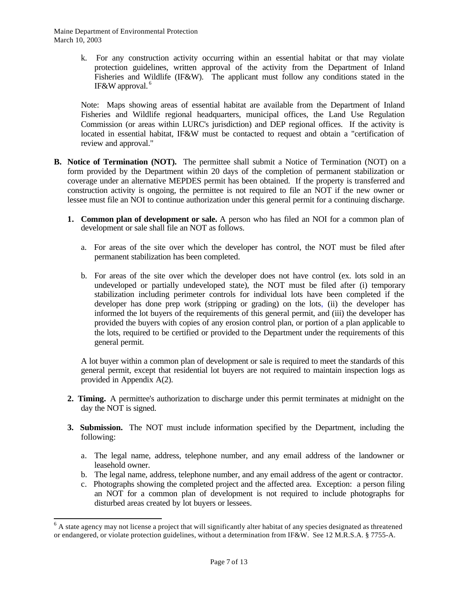l

k. For any construction activity occurring within an essential habitat or that may violate protection guidelines, written approval of the activity from the Department of Inland Fisheries and Wildlife (IF&W). The applicant must follow any conditions stated in the IF&W approval. <sup>6</sup>

Note: Maps showing areas of essential habitat are available from the Department of Inland Fisheries and Wildlife regional headquarters, municipal offices, the Land Use Regulation Commission (or areas within LURC's jurisdiction) and DEP regional offices. If the activity is located in essential habitat, IF&W must be contacted to request and obtain a "certification of review and approval."

- **B. Notice of Termination (NOT).** The permittee shall submit a Notice of Termination (NOT) on a form provided by the Department within 20 days of the completion of permanent stabilization or coverage under an alternative MEPDES permit has been obtained. If the property is transferred and construction activity is ongoing, the permittee is not required to file an NOT if the new owner or lessee must file an NOI to continue authorization under this general permit for a continuing discharge.
	- **1. Common plan of development or sale.** A person who has filed an NOI for a common plan of development or sale shall file an NOT as follows.
		- a. For areas of the site over which the developer has control, the NOT must be filed after permanent stabilization has been completed.
		- b. For areas of the site over which the developer does not have control (ex. lots sold in an undeveloped or partially undeveloped state), the NOT must be filed after (i) temporary stabilization including perimeter controls for individual lots have been completed if the developer has done prep work (stripping or grading) on the lots, (ii) the developer has informed the lot buyers of the requirements of this general permit, and (iii) the developer has provided the buyers with copies of any erosion control plan, or portion of a plan applicable to the lots, required to be certified or provided to the Department under the requirements of this general permit.

A lot buyer within a common plan of development or sale is required to meet the standards of this general permit, except that residential lot buyers are not required to maintain inspection logs as provided in Appendix A(2).

- **2. Timing.** A permittee's authorization to discharge under this permit terminates at midnight on the day the NOT is signed.
- **3. Submission.** The NOT must include information specified by the Department, including the following:
	- a. The legal name, address, telephone number, and any email address of the landowner or leasehold owner.
	- b. The legal name, address, telephone number, and any email address of the agent or contractor.
	- c. Photographs showing the completed project and the affected area. Exception: a person filing an NOT for a common plan of development is not required to include photographs for disturbed areas created by lot buyers or lessees.

<sup>&</sup>lt;sup>6</sup> A state agency may not license a project that will significantly alter habitat of any species designated as threatened or endangered, or violate protection guidelines, without a determination from IF&W. See 12 M.R.S.A. § 7755-A.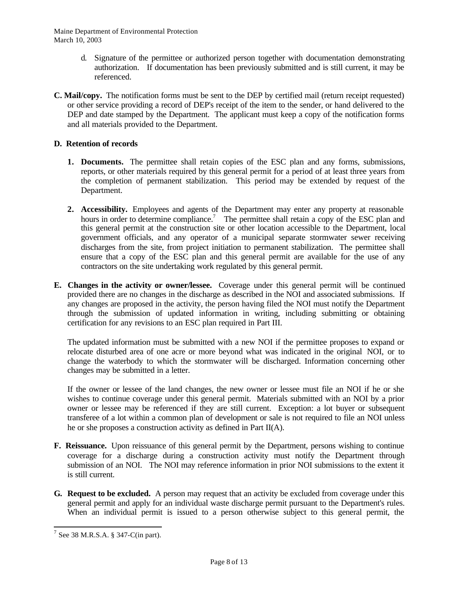- d. Signature of the permittee or authorized person together with documentation demonstrating authorization. If documentation has been previously submitted and is still current, it may be referenced.
- **C. Mail/copy.** The notification forms must be sent to the DEP by certified mail (return receipt requested) or other service providing a record of DEP's receipt of the item to the sender, or hand delivered to the DEP and date stamped by the Department. The applicant must keep a copy of the notification forms and all materials provided to the Department.

# **D. Retention of records**

- **1. Documents.** The permittee shall retain copies of the ESC plan and any forms, submissions, reports, or other materials required by this general permit for a period of at least three years from the completion of permanent stabilization. This period may be extended by request of the Department.
- **2. Accessibility.** Employees and agents of the Department may enter any property at reasonable hours in order to determine compliance.<sup>7</sup> The permittee shall retain a copy of the ESC plan and this general permit at the construction site or other location accessible to the Department, local government officials, and any operator of a municipal separate stormwater sewer receiving discharges from the site, from project initiation to permanent stabilization. The permittee shall ensure that a copy of the ESC plan and this general permit are available for the use of any contractors on the site undertaking work regulated by this general permit.
- **E. Changes in the activity or owner/lessee.** Coverage under this general permit will be continued provided there are no changes in the discharge as described in the NOI and associated submissions. If any changes are proposed in the activity, the person having filed the NOI must notify the Department through the submission of updated information in writing, including submitting or obtaining certification for any revisions to an ESC plan required in Part III.

The updated information must be submitted with a new NOI if the permittee proposes to expand or relocate disturbed area of one acre or more beyond what was indicated in the original NOI, or to change the waterbody to which the stormwater will be discharged. Information concerning other changes may be submitted in a letter.

If the owner or lessee of the land changes, the new owner or lessee must file an NOI if he or she wishes to continue coverage under this general permit. Materials submitted with an NOI by a prior owner or lessee may be referenced if they are still current. Exception: a lot buyer or subsequent transferee of a lot within a common plan of development or sale is not required to file an NOI unless he or she proposes a construction activity as defined in Part II(A).

- **F. Reissuance.** Upon reissuance of this general permit by the Department, persons wishing to continue coverage for a discharge during a construction activity must notify the Department through submission of an NOI. The NOI may reference information in prior NOI submissions to the extent it is still current.
- **G. Request to be excluded.** A person may request that an activity be excluded from coverage under this general permit and apply for an individual waste discharge permit pursuant to the Department's rules. When an individual permit is issued to a person otherwise subject to this general permit, the

 $7$  See 38 M.R.S.A. § 347-C(in part).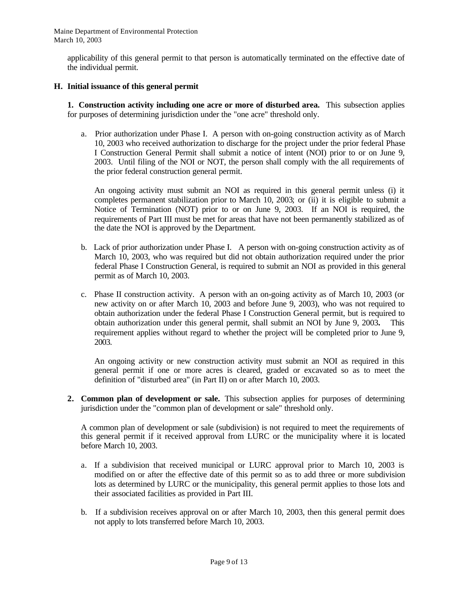applicability of this general permit to that person is automatically terminated on the effective date of the individual permit.

# **H. Initial issuance of this general permit**

**1. Construction activity including one acre or more of disturbed area.** This subsection applies for purposes of determining jurisdiction under the "one acre" threshold only.

a. Prior authorization under Phase I. A person with on-going construction activity as of March 10, 2003 who received authorization to discharge for the project under the prior federal Phase I Construction General Permit shall submit a notice of intent (NOI) prior to or on June 9, 2003. Until filing of the NOI or NOT, the person shall comply with the all requirements of the prior federal construction general permit.

An ongoing activity must submit an NOI as required in this general permit unless (i) it completes permanent stabilization prior to March 10, 2003; or (ii) it is eligible to submit a Notice of Termination (NOT) prior to or on June 9, 2003. If an NOI is required, the requirements of Part III must be met for areas that have not been permanently stabilized as of the date the NOI is approved by the Department.

- b. Lack of prior authorization under Phase I. A person with on-going construction activity as of March 10, 2003, who was required but did not obtain authorization required under the prior federal Phase I Construction General, is required to submit an NOI as provided in this general permit as of March 10, 2003.
- c. Phase II construction activity. A person with an on-going activity as of March 10, 2003 (or new activity on or after March 10, 2003 and before June 9, 2003), who was not required to obtain authorization under the federal Phase I Construction General permit, but is required to obtain authorization under this general permit, shall submit an NOI by June 9, 2003**.** This requirement applies without regard to whether the project will be completed prior to June 9, 2003.

An ongoing activity or new construction activity must submit an NOI as required in this general permit if one or more acres is cleared, graded or excavated so as to meet the definition of "disturbed area" (in Part II) on or after March 10, 2003.

**2. Common plan of development or sale.** This subsection applies for purposes of determining jurisdiction under the "common plan of development or sale" threshold only.

A common plan of development or sale (subdivision) is not required to meet the requirements of this general permit if it received approval from LURC or the municipality where it is located before March 10, 2003.

- a. If a subdivision that received municipal or LURC approval prior to March 10, 2003 is modified on or after the effective date of this permit so as to add three or more subdivision lots as determined by LURC or the municipality, this general permit applies to those lots and their associated facilities as provided in Part III.
- b. If a subdivision receives approval on or after March 10, 2003, then this general permit does not apply to lots transferred before March 10, 2003.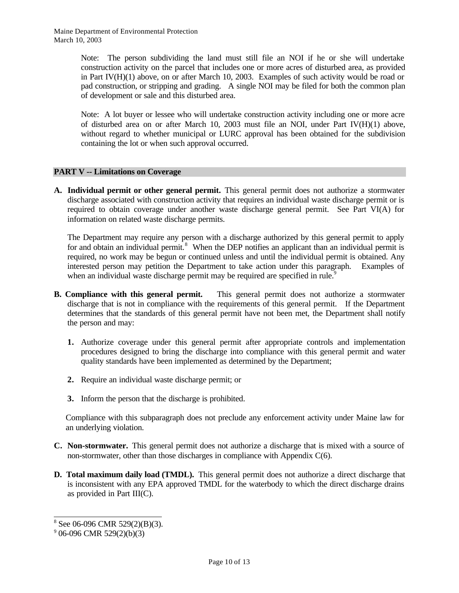> Note: The person subdividing the land must still file an NOI if he or she will undertake construction activity on the parcel that includes one or more acres of disturbed area, as provided in Part IV(H)(1) above, on or after March 10, 2003. Examples of such activity would be road or pad construction, or stripping and grading. A single NOI may be filed for both the common plan of development or sale and this disturbed area.

> Note: A lot buyer or lessee who will undertake construction activity including one or more acre of disturbed area on or after March 10, 2003 must file an NOI, under Part IV(H)(1) above, without regard to whether municipal or LURC approval has been obtained for the subdivision containing the lot or when such approval occurred.

#### **PART V -- Limitations on Coverage**

**A. Individual permit or other general permit.** This general permit does not authorize a stormwater discharge associated with construction activity that requires an individual waste discharge permit or is required to obtain coverage under another waste discharge general permit. See Part VI(A) for information on related waste discharge permits.

The Department may require any person with a discharge authorized by this general permit to apply for and obtain an individual permit.<sup>8</sup> When the DEP notifies an applicant than an individual permit is required, no work may be begun or continued unless and until the individual permit is obtained. Any interested person may petition the Department to take action under this paragraph. Examples of when an individual waste discharge permit may be required are specified in rule.<sup>9</sup>

- **B. Compliance with this general permit.** This general permit does not authorize a stormwater discharge that is not in compliance with the requirements of this general permit. If the Department determines that the standards of this general permit have not been met, the Department shall notify the person and may:
	- **1.** Authorize coverage under this general permit after appropriate controls and implementation procedures designed to bring the discharge into compliance with this general permit and water quality standards have been implemented as determined by the Department;
	- **2.** Require an individual waste discharge permit; or
	- **3.** Inform the person that the discharge is prohibited.

Compliance with this subparagraph does not preclude any enforcement activity under Maine law for an underlying violation.

- **C. Non-stormwater.** This general permit does not authorize a discharge that is mixed with a source of non-stormwater, other than those discharges in compliance with Appendix C(6).
- **D. Total maximum daily load (TMDL).** This general permit does not authorize a direct discharge that is inconsistent with any EPA approved TMDL for the waterbody to which the direct discharge drains as provided in Part III(C).

 $8$  See 06-096 CMR 529(2)(B)(3).

 $9^9$  06-096 CMR 529(2)(b)(3)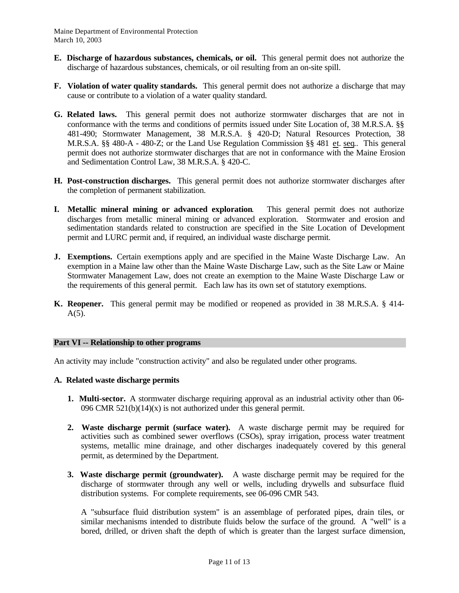- **E. Discharge of hazardous substances, chemicals, or oil.** This general permit does not authorize the discharge of hazardous substances, chemicals, or oil resulting from an on-site spill.
- **F. Violation of water quality standards.** This general permit does not authorize a discharge that may cause or contribute to a violation of a water quality standard.
- **G. Related laws.** This general permit does not authorize stormwater discharges that are not in conformance with the terms and conditions of permits issued under Site Location of, 38 M.R.S.A. §§ 481-490; Stormwater Management, 38 M.R.S.A. § 420-D; Natural Resources Protection, 38 M.R.S.A. §§ 480-A - 480-Z; or the Land Use Regulation Commission §§ 481 et. seq.. This general permit does not authorize stormwater discharges that are not in conformance with the Maine Erosion and Sedimentation Control Law, 38 M.R.S.A. § 420-C.
- **H. Post-construction discharges.** This general permit does not authorize stormwater discharges after the completion of permanent stabilization.
- **I. Metallic mineral mining or advanced exploration**.This general permit does not authorize discharges from metallic mineral mining or advanced exploration. Stormwater and erosion and sedimentation standards related to construction are specified in the Site Location of Development permit and LURC permit and, if required, an individual waste discharge permit.
- **J. Exemptions.** Certain exemptions apply and are specified in the Maine Waste Discharge Law. An exemption in a Maine law other than the Maine Waste Discharge Law, such as the Site Law or Maine Stormwater Management Law, does not create an exemption to the Maine Waste Discharge Law or the requirements of this general permit. Each law has its own set of statutory exemptions.
- **K. Reopener.** This general permit may be modified or reopened as provided in 38 M.R.S.A. § 414-  $A(5)$ .

### **Part VI -- Relationship to other programs**

An activity may include "construction activity" and also be regulated under other programs.

#### **A. Related waste discharge permits**

- **1. Multi-sector.** A stormwater discharge requiring approval as an industrial activity other than 06- 096 CMR  $521(b)(14)(x)$  is not authorized under this general permit.
- **2. Waste discharge permit (surface water).** A waste discharge permit may be required for activities such as combined sewer overflows (CSOs), spray irrigation, process water treatment systems, metallic mine drainage, and other discharges inadequately covered by this general permit, as determined by the Department.
- **3. Waste discharge permit (groundwater).** A waste discharge permit may be required for the discharge of stormwater through any well or wells, including drywells and subsurface fluid distribution systems. For complete requirements, see 06-096 CMR 543.

A "subsurface fluid distribution system" is an assemblage of perforated pipes, drain tiles, or similar mechanisms intended to distribute fluids below the surface of the ground. A "well" is a bored, drilled, or driven shaft the depth of which is greater than the largest surface dimension,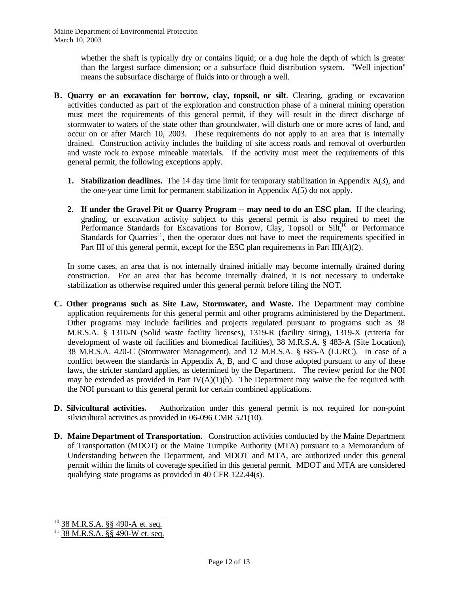> whether the shaft is typically dry or contains liquid; or a dug hole the depth of which is greater than the largest surface dimension; or a subsurface fluid distribution system. "Well injection" means the subsurface discharge of fluids into or through a well.

- **B. Quarry or an excavation for borrow, clay, topsoil, or silt**. Clearing, grading or excavation activities conducted as part of the exploration and construction phase of a mineral mining operation must meet the requirements of this general permit, if they will result in the direct discharge of stormwater to waters of the state other than groundwater, will disturb one or more acres of land, and occur on or after March 10, 2003. These requirements do not apply to an area that is internally drained. Construction activity includes the building of site access roads and removal of overburden and waste rock to expose mineable materials. If the activity must meet the requirements of this general permit, the following exceptions apply.
	- **1. Stabilization deadlines.** The 14 day time limit for temporary stabilization in Appendix A(3), and the one-year time limit for permanent stabilization in Appendix A(5) do not apply.
	- **2. If under the Gravel Pit or Quarry Program -- may need to do an ESC plan.** If the clearing, grading, or excavation activity subject to this general permit is also required to meet the Performance Standards for Excavations for Borrow, Clay, Topsoil or Sil $t<sub>10</sub>$  or Performance Standards for Quarries<sup>11</sup>, then the operator does not have to meet the requirements specified in Part III of this general permit, except for the ESC plan requirements in Part III(A)(2).

In some cases, an area that is not internally drained initially may become internally drained during construction. For an area that has become internally drained, it is not necessary to undertake stabilization as otherwise required under this general permit before filing the NOT.

- **C. Other programs such as Site Law, Stormwater, and Waste.** The Department may combine application requirements for this general permit and other programs administered by the Department. Other programs may include facilities and projects regulated pursuant to programs such as 38 M.R.S.A. § 1310-N (Solid waste facility licenses), 1319-R (facility siting), 1319-X (criteria for development of waste oil facilities and biomedical facilities), 38 M.R.S.A. § 483-A (Site Location), 38 M.R.S.A. 420-C (Stormwater Management), and 12 M.R.S.A. § 685-A (LURC). In case of a conflict between the standards in Appendix A, B, and C and those adopted pursuant to any of these laws, the stricter standard applies, as determined by the Department. The review period for the NOI may be extended as provided in Part IV(A)(1)(b). The Department may waive the fee required with the NOI pursuant to this general permit for certain combined applications.
- **D. Silvicultural activities.** Authorization under this general permit is not required for non-point silvicultural activities as provided in 06-096 CMR 521(10).
- **D. Maine Department of Transportation.** Construction activities conducted by the Maine Department of Transportation (MDOT) or the Maine Turnpike Authority (MTA) pursuant to a Memorandum of Understanding between the Department, and MDOT and MTA, are authorized under this general permit within the limits of coverage specified in this general permit. MDOT and MTA are considered qualifying state programs as provided in 40 CFR 122.44(s).

l  $10$  38 M.R.S.A. §§ 490-A et. seq.

 $11\overline{38 \text{ M.R.S.A. } }$ §§ 490-W et. seq.